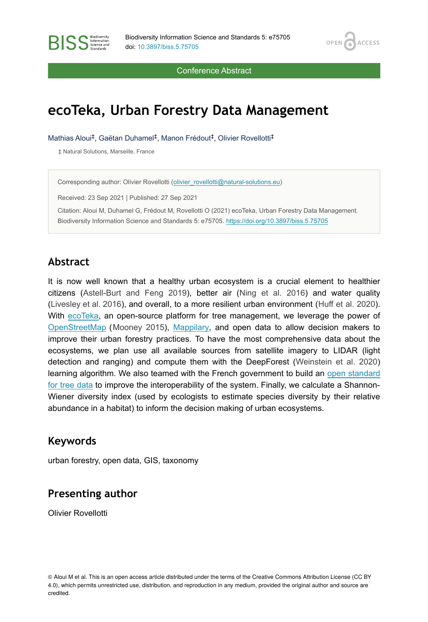OPEN<sub>C</sub>

**ACCESS** 

Conference Abstract

# **ecoTeka, Urban Forestry Data Management**

Mathias Aloui<sup>‡</sup>, Gaëtan Duhamel<sup>‡</sup>, Manon Frédout<sup>‡</sup>, Olivier Rovellotti<sup>‡</sup>

‡ Natural Solutions, Marseille, France

**RISS** Science and

Corresponding author: Olivier Rovellotti [\(olivier\\_rovellotti@natural-solutions.eu\)](mailto:olivier_rovellotti@natural-solutions.eu)

Received: 23 Sep 2021 | Published: 27 Sep 2021

Citation: Aloui M, Duhamel G, Frédout M, Rovellotti O (2021) ecoTeka, Urban Forestry Data Management. Biodiversity Information Science and Standards 5: e75705. <https://doi.org/10.3897/biss.5.75705>

#### **Abstract**

It is now well known that a healthy urban ecosystem is a crucial element to healthier citizens ([Astell-Burt and Feng 2019\)](#page-1-0), better air ([Ning et al. 2016](#page-1-1)) and water quality [\(Livesley et al. 2016](#page-1-2)), and overall, to a more resilient urban environment ([Huff et al. 2020\)](#page-1-3). With [ecoTeka,](https://ecoteka.org) an open-source platform for tree management, we leverage the power of [OpenStreetMap](https://www.openstreetmap.org/) ([Mooney 2015](#page-1-4)), [Mappilary](https://www.mapillary.com/), and open data to allow decision makers to improve their urban forestry practices. To have the most comprehensive data about the ecosystems, we plan use all available sources from satellite imagery to LIDAR (light detection and ranging) and compute them with the DeepForest [\(Weinstein et al. 2020](#page-1-5)) learning algorithm. We also teamed with the French government to build an [open standard](https://schema.data.gouv.fr/NaturalSolutions/schema-arbre/latest.html) [for tree data](https://schema.data.gouv.fr/NaturalSolutions/schema-arbre/latest.html) to improve the interoperability of the system. Finally, we calculate a Shannon-Wiener diversity index (used by ecologists to estimate species diversity by their relative abundance in a habitat) to inform the decision making of urban ecosystems.

#### **Keywords**

urban forestry, open data, GIS, taxonomy

## **Presenting author**

Olivier Rovellotti